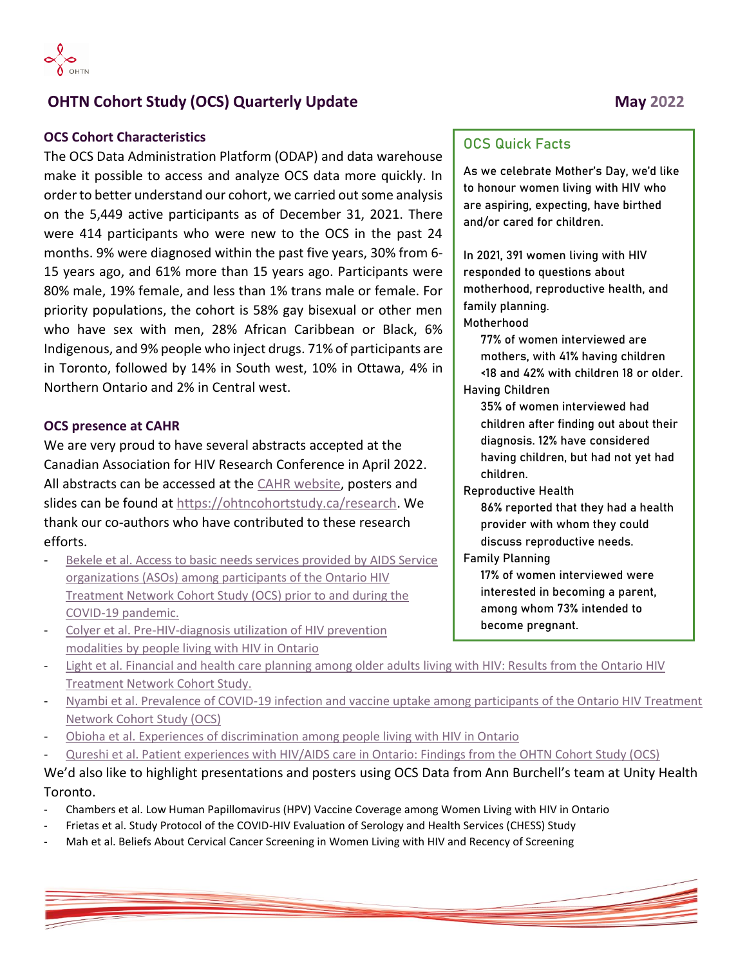

# **OHTN Cohort Study (OCS) Quarterly Update May 2022**

## **OCS Cohort Characteristics**

The OCS Data Administration Platform (ODAP) and data warehouse make it possible to access and analyze OCS data more quickly. In order to better understand our cohort, we carried out some analysis on the 5,449 active participants as of December 31, 2021. There were 414 participants who were new to the OCS in the past 24 months. 9% were diagnosed within the past five years, 30% from 6- 15 years ago, and 61% more than 15 years ago. Participants were 80% male, 19% female, and less than 1% trans male or female. For priority populations, the cohort is 58% gay bisexual or other men who have sex with men, 28% African Caribbean or Black, 6% Indigenous, and 9% people who inject drugs. 71% of participants are in Toronto, followed by 14% in South west, 10% in Ottawa, 4% in Northern Ontario and 2% in Central west.

## **OCS presence at CAHR**

We are very proud to have several abstracts accepted at the Canadian Association for HIV Research Conference in April 2022. All abstracts can be accessed at the [CAHR website,](https://az659834.vo.msecnd.net/eventsaircaneprod/production-seatoskymeeting-public/299b2774792b43569b189e99d3b9c5b1) posters and slides can be found at [https://ohtncohortstudy.ca/research.](https://ohtncohortstudy.ca/research) We thank our co-authors who have contributed to these research efforts.

- Bekele et al. Access to basic needs services provided by AIDS Service [organizations \(ASOs\) among participants of the Ontario HIV](https://ohtncohortstudy.ca/wp-content/uploads/2022/04/Bekele-et-al-P127-Access-to-basic-needs-services-provided-by-ASOs-among-OCS-participants-before-and-during-the-COVID-19-pandemic.pdf)  [Treatment Network Cohort Study \(OCS\) prior to and during the](https://ohtncohortstudy.ca/wp-content/uploads/2022/04/Bekele-et-al-P127-Access-to-basic-needs-services-provided-by-ASOs-among-OCS-participants-before-and-during-the-COVID-19-pandemic.pdf)  [COVID-19 pandemic.](https://ohtncohortstudy.ca/wp-content/uploads/2022/04/Bekele-et-al-P127-Access-to-basic-needs-services-provided-by-ASOs-among-OCS-participants-before-and-during-the-COVID-19-pandemic.pdf)
- [Colyer et al. Pre-HIV-diagnosis utilization of HIV prevention](https://ohtncohortstudy.ca/wp-content/uploads/2022/04/CAHR-2022-Pre-HIV-diagnosis-utilization-of-HIV-prevention-modalities-by-people-living-with-HIV-in-Ontario-2022APR07.pdf)  [modalities by people living with HIV in Ontario](https://ohtncohortstudy.ca/wp-content/uploads/2022/04/CAHR-2022-Pre-HIV-diagnosis-utilization-of-HIV-prevention-modalities-by-people-living-with-HIV-in-Ontario-2022APR07.pdf)

## **OCS Quick Facts**

As we celebrate Mother's Day, we'd like to honour women living with HIV who are aspiring, expecting, have birthed and/or cared for children.

In 2021, 391 women living with HIV responded to questions about motherhood, reproductive health, and family planning.

#### **Motherhood**

77% of women interviewed are mothers, with 41% having children <18 and 42% with children 18 or older.

#### **Having Children**

35% of women interviewed had children after finding out about their diagnosis. 12% have considered having children, but had not yet had children.

#### **Reproductive Health**

86% reported that they had a health provider with whom they could discuss reproductive needs.

## **Family Planning**

17% of women interviewed were interested in becoming a parent, among whom 73% intended to become pregnant.

- [Light et al. Financial and health care planning among older adults living with HIV: Results from the Ontario HIV](https://ohtncohortstudy.ca/wp-content/uploads/2022/04/Old-Age-Planning_final.pdf)  [Treatment Network Cohort Study.](https://ohtncohortstudy.ca/wp-content/uploads/2022/04/Old-Age-Planning_final.pdf)
- [Nyambi et al. Prevalence of COVID-19 infection and vaccine uptake among participants of the Ontario HIV Treatment](https://ohtncohortstudy.ca/wp-content/uploads/2022/04/Prevalence-of-COVID-19-infection-and-Vaccine-Uptake.pdf)  [Network Cohort Study \(OCS\)](https://ohtncohortstudy.ca/wp-content/uploads/2022/04/Prevalence-of-COVID-19-infection-and-Vaccine-Uptake.pdf)
- [Obioha et al. Experiences of discrimination among people living with HIV in Ontario](https://ohtncohortstudy.ca/wp-content/uploads/2022/04/OCS-Experiences-of-Discrimination-CAHR-2022-Poster.pdf)
- [Qureshi et al. Patient experiences with HIV/AIDS care in Ontario: Findings from the OHTN Cohort Study \(OCS\)](https://ohtncohortstudy.ca/wp-content/uploads/2022/04/Patient-Experience_Final.pdf)

## We'd also like to highlight presentations and posters using OCS Data from Ann Burchell's team at Unity Health Toronto.

- Chambers et al. Low Human Papillomavirus (HPV) Vaccine Coverage among Women Living with HIV in Ontario
- Frietas et al. Study Protocol of the COVID-HIV Evaluation of Serology and Health Services (CHESS) Study
- Mah et al. Beliefs About Cervical Cancer Screening in Women Living with HIV and Recency of Screening